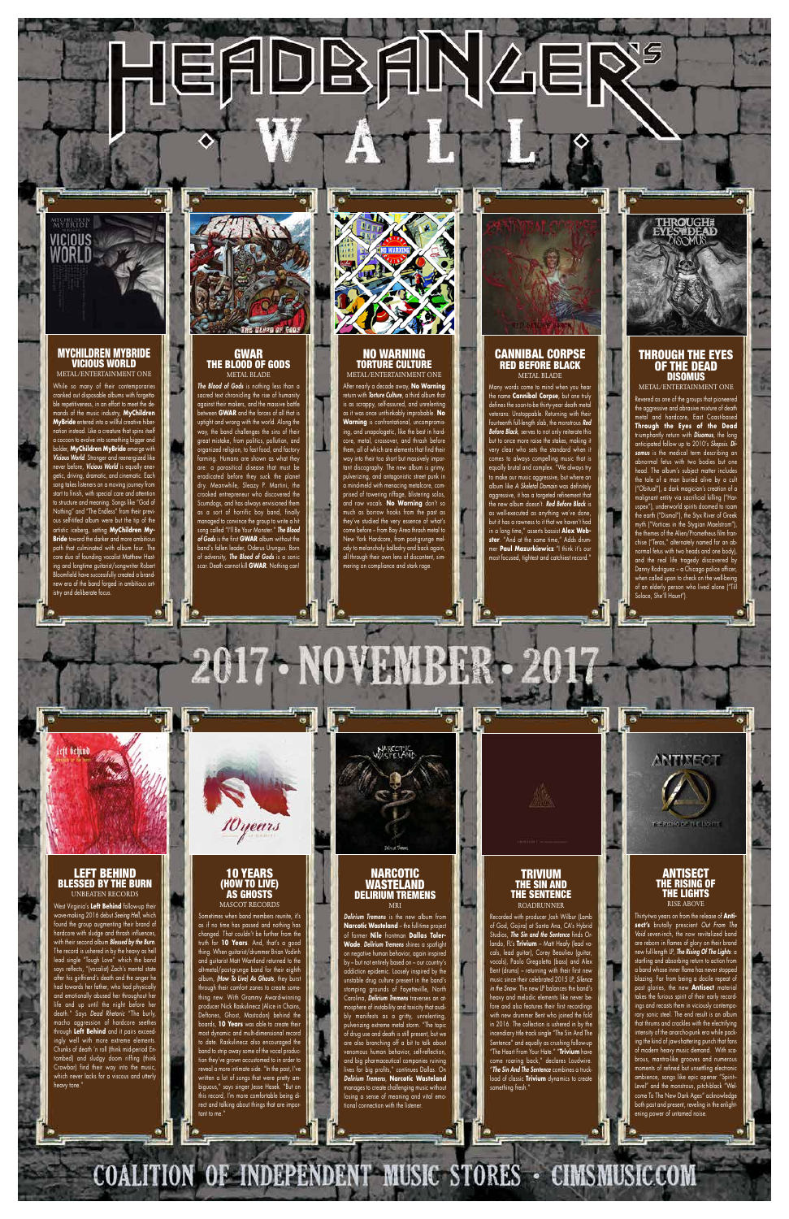EADBANZE



## MYCHILDREN MYBRIDE VICIOUS WORLD METAL/ENTERTAINMENT ONE

While so many of their contemporaries ed out disposable albums with forgettaeness, in an effort to meet the demands of the music industry, **MyChildren MyBride** entered into a willful creative hibernation instead. Like a creature that spins itself a cocoon to evolve into something bigger and bolder, **MyChildren MyBride** emerge with *Vicious World*. Stronger and reenerg never before, *Vicious World* is equally energetic, driving, dramatic, and cinematic. Each song takes listeners on a moving journey from start to finish, with special care and attention to structure and meaning. Songs like "God of Nothing" and "The Endless" from their previous self-titled album were but the tip of the artistic iceberg, setting **MyChildren My-Bride** toward the darker and more ambitious path that culminated with album four. The core duo of founding vocalist Matthew Hasting and longtime guitarist/songwriter Robert nfield have successfully created a brandnew era of the band forged in ambitious artistry and deliberate focus.

## GWAR THE BLOOD OF GODS METAL BLADE

*The Blood of Gods* is nothing less than a sacred text chronicling the rise of humanity against their makers, and the massive battle een **GWAR** and the forces of all that is uptight and wrong with the world. Along the way, the band challenges the sins of their great mistake, from politics, pollution, and rganized religion, to fast food, and factory armina. Humans are shown as what they are: a parasitical disease that must be eradicated before they suck the planet dry. Meanwhile, Sleazy P. Martini, the crooked entrepreneur who discovered the Scumdogs, and has always envisioned them as a sort of horrific boy band, finally managed to convince the group to write a hit song called "I'll Be Your Monster." *The Blood of Gods* is the first **GWAR** album without the band's fallen leader, Oderus Urungus. Born of adversity, *The Blood of Gods* is a sonic scar. Death cannot kill **GWAR**. Nothing can!



# NO WARNING TORTURE CULTURE

METAL/ENTERTAINMENT ONE After nearly a decade away, **No Warning** return with *Torture Culture*, a third album that is as scrappy, self-assured, and unrelenting as it was once unthinkably improbable. **No Warning** is confrontational, uncompr ing, and unapologetic, like the best in hardcore, metal, crossover, and thrash before them, all of which are elements that find their way into their too short but massively important discography. The new album is grimy, pulverizing, and antagonistic street punk in  $\epsilon$  meld with menacing metalcore, comprised of towering riffage, blistering solos, and raw vocals. **No Warning** don't so much as borrow hooks from the past as hey've studied the very essence of what's come before – from Bay Area thrash metal to New York Hardcore, from post-grunge melody to melancholy balladry and back again, all through their own lens of discontent, simmering on compliance and stark rage.



## CANNIBAL CORPSE RED BEFORE BLACK METAL BLADE

#### DELIN MRI

*Delirium Tremens* is the new album from **Narcotic Wasteland** – the full-time project of former **Nile** frontman **Dallas Toler-Wade**. *Delirium Tremens* shines a spotlight on negative human behavior, again inspired by – but not entirely based on – our country's addiction epidemic. Loosely inspired by the unstable drug culture present in the band's stomping grounds of Fayetteville, North Carolina, *Delirium Tremens* traverses an atmosphere of instability and toxicity that audibly manifests as a gritty, unrelenting, pulverizing extreme metal storm. "The topic of drug use and death is still present, but we are also branching off a bit to talk about venomous human behavior, self-reflection, and big pharmaceutical companies ruining lives for big profits," continues Dallas. On *Delirium Tremens*, **Narcotic Wasteland** manages to create challenging music without losing a sense of meaning and vital emoional connection with the listener.

COALITION OF INDEPENDENT MUSIC STORES - CIMSMUSIC.COM

о.

Many words come to mind when you hear the name **Cannibal Corpse**, but one truly defines the soon-to-be thirty-year death metal veterans: Unstoppable. Returning with their fourteenth full-length slab, the monstrous *Red Before Black*, serves to not only reiterate this but to once more raise the stakes, making it very clear who sets the standard when it comes to always compelling music that is equally brutal and complex. "We always try to make our music aggressive, but where an album like *A Skeletal Domain* was definitely aggressive, it has a targeted refinement that the new album doesn't. *Red Before Black* is as well-executed as anything we've done, but it has a rawness to it that we haven't had in a long time," asserts bassist **Alex Webster**. "And at the same time," Adds drummer **Paul Mazurkiewicz** "I think it's our most focused, tightest and catchiest record."



# THROUGH THE EYES OF THE DEAD DISOMUS

Thirty-two years on from the release of **Antisect's** brutally prescient *Out From The Void* seven-inch, the now revitalized band are reborn in flames of glory on their brand new full-length LP, *The Rising Of The Lights*: a startling and absorbing return to action from a band whose inner flame has never stopped blazing. Far from being a docile repeat of past glories, the new **Antisect** material takes the furious spirit of their early recordings and recasts them in viciously contemporary sonic steel. The end result is an album that thrums and crackles with the electrifying intensity of the anarcho-punk era while packing the kind of jaw-shattering punch that fans of modern heavy music demand. With scabrous, mantra-like grooves and numerous moments of refined but unsettling electronic ambience, songs like epic opener "Spirit– Level" and the monstrous, pitch-black "Welcome To The New Dark Ages" acknowledge both past and present, reveling in the enlightening power of untamed noise.

METAL/ENTERTAINMENT ONE Revered as one of the groups that pioneered the aggressive and abrasive mixture of death metal and hardcore, East Coast-based **Through the Eyes of the Dead** triumphantly return with *Disomus*, the long anticipated follow up to 2010's *Skepsis*. *Disomus* is the medical term describing an abnormal fetus with two bodies but one head. The album's subject matter includes the tale of a man buried alive by a cult ("Obitual"), a dark magician's creation of a malignant entity via sacrificial killing ("Haruspex"), underworld spirits doomed to roam the earth ("Dismal"), the Styx River of Greek myth ("Vortices in the Stygian Maelstrom"), the themes of the Alien/Prometheus film fran chise ("Teras," alternately named for an abnormal fetus with two heads and one body), and the real life tragedy discovered by Danny Rodriguez – a Chicago police officer, when called upon to check on the well-being of an elderly person who lived alone ("Till Solace, She'll Haunt").



LEFT BEHIND

## BLESSED BY THE BURN UNBEATEN RECORDS

West Virginia's **Left Behind** follow-up their wave-making 2016 debut *Seeing Hell*, which found the group augmenting their brand of hardcore with sludge and thrash influences, with their second album *Blessed by the Burn*. The record is ushered in by the heavy as hell lead single "Tough Love" which the band says reflects, "(vocalist) Zach's mental state after his girlfriend's death and the anger he had towards her father, who had physically and emotionally abused her throughout her life and up until the night before her death." Says *Dead Rhetoric* "The burly, macho aggression of hardcore seethes through **Left Behind** and it pairs exceedingly well with more extreme elements. Chunks of death 'n roll (think mid-period Entombed) and sludgy doom riffing (think Crowbar) find their way into the music, which never lacks for a viscous and utterly heavy tone."



w

# MASCOT RECORDS

Sometimes when band members reunite, it's as if no time has passed and nothing has changed. That couldn't be further from the truth for **10 Years**. And, that's a good thing. When guitarist/drummer Brian Vodinh and guitarist Matt Wantland returned to the alt-metal/post-grunge band for their eighth album, *(How To Live) As Ghosts*, they burst through their comfort zones to create something new. With Grammy Award-winning ucer Nick Raskulinecz (Alice in Chains, Deftones, Ghost, Mastodon) behind the boards, **10 Years** was able to create their most dynamic and multi-dimensional record to date. Raskulinecz also encouraged the band to strip away some of the vocal production they've grown accustomed to in order to reveal a more intimate side. "In the past, I've written a lot of songs that were pretty ambiguous," says singer Jesse Hasek. "But on this record, I'm more comfortable being direct and talking about things that are important to me."



TRIVIUM THE SIN AND

## THE SENTENCE ROADRUNNER

Recorded with producer Josh Wilbur (Lamb of God, Gojira) at Santa Ana, CA's Hybrid Studios, *The Sin and the Sentence* finds Orlando, FL's **Trivium** – Matt Heafy (lead vocals, lead guitar), Corey Beaulieu (guitar, vocals), Paolo Gregoletto (bass) and Alex Bent (drums) – returning with their first new music since their celebrated 2015 LP, *Silence in the Snow*. The new LP balances the band's heavy and melodic elements like never before and also features their first recor with new drummer Bent who joined the fold in 2016. The collection is ushered in by the incendiary title track single "The Sin And The Sentence" and equally as crushing follow-up "The Heart From Your Hate." "**Trivium** have come roaring back," declares Loudwire. "*The Sin And The Sentence* combines a truckload of classic **Trivium** dynamics to create something fresh."

∙∥

ANTISECT

**HEMPIS OF THE HOURS** 

## THE RISING OF THE LIGHTS RISE ABOVE